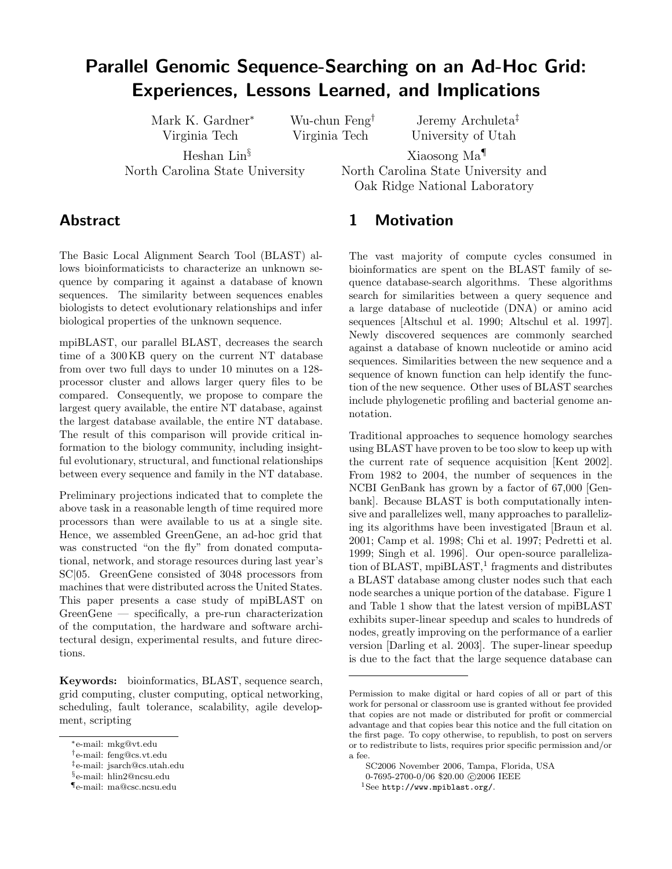# Parallel Genomic Sequence-Searching on an Ad-Hoc Grid: Experiences, Lessons Learned, and Implications

Mark K. Gardner<sup>∗</sup> Virginia Tech Heshan Lin§ North Carolina State University

Wu-chun Feng† Virginia Tech

> Xiaosong Ma¶ North Carolina State University and Oak Ridge National Laboratory

Jeremy Archuleta‡ University of Utah

# **Abstract**

The Basic Local Alignment Search Tool (BLAST) allows bioinformaticists to characterize an unknown sequence by comparing it against a database of known sequences. The similarity between sequences enables biologists to detect evolutionary relationships and infer biological properties of the unknown sequence.

mpiBLAST, our parallel BLAST, decreases the search time of a 300KB query on the current NT database from over two full days to under 10 minutes on a 128 processor cluster and allows larger query files to be compared. Consequently, we propose to compare the largest query available, the entire NT database, against the largest database available, the entire NT database. The result of this comparison will provide critical information to the biology community, including insightful evolutionary, structural, and functional relationships between every sequence and family in the NT database.

Preliminary projections indicated that to complete the above task in a reasonable length of time required more processors than were available to us at a single site. Hence, we assembled GreenGene, an ad-hoc grid that was constructed "on the fly" from donated computational, network, and storage resources during last year's SC|05. GreenGene consisted of 3048 processors from machines that were distributed across the United States. This paper presents a case study of mpiBLAST on GreenGene — specifically, a pre-run characterization of the computation, the hardware and software architectural design, experimental results, and future directions.

Keywords: bioinformatics, BLAST, sequence search, grid computing, cluster computing, optical networking, scheduling, fault tolerance, scalability, agile development, scripting

### 1 Motivation

The vast majority of compute cycles consumed in bioinformatics are spent on the BLAST family of sequence database-search algorithms. These algorithms search for similarities between a query sequence and a large database of nucleotide (DNA) or amino acid sequences [Altschul et al. 1990; Altschul et al. 1997]. Newly discovered sequences are commonly searched against a database of known nucleotide or amino acid sequences. Similarities between the new sequence and a sequence of known function can help identify the function of the new sequence. Other uses of BLAST searches include phylogenetic profiling and bacterial genome annotation.

Traditional approaches to sequence homology searches using BLAST have proven to be too slow to keep up with the current rate of sequence acquisition [Kent 2002]. From 1982 to 2004, the number of sequences in the NCBI GenBank has grown by a factor of 67,000 [Genbank]. Because BLAST is both computationally intensive and parallelizes well, many approaches to parallelizing its algorithms have been investigated [Braun et al. 2001; Camp et al. 1998; Chi et al. 1997; Pedretti et al. 1999; Singh et al. 1996]. Our open-source parallelization of BLAST, mpiBLAST, <sup>1</sup> fragments and distributes a BLAST database among cluster nodes such that each node searches a unique portion of the database. Figure 1 and Table 1 show that the latest version of mpiBLAST exhibits super-linear speedup and scales to hundreds of nodes, greatly improving on the performance of a earlier version [Darling et al. 2003]. The super-linear speedup is due to the fact that the large sequence database can

<sup>∗</sup>e-mail: mkg@vt.edu

<sup>†</sup>e-mail: feng@cs.vt.edu

<sup>‡</sup>e-mail: jsarch@cs.utah.edu

<sup>§</sup>e-mail: hlin2@ncsu.edu

<sup>¶</sup>e-mail: ma@csc.ncsu.edu

Permission to make digital or hard copies of all or part of this work for personal or classroom use is granted without fee provided that copies are not made or distributed for profit or commercial advantage and that copies bear this notice and the full citation on the first page. To copy otherwise, to republish, to post on servers or to redistribute to lists, requires prior specific permission and/or a fee.

SC2006 November 2006, Tampa, Florida, USA 0-7695-2700-0/06 \$20.00  $\odot$  2006 IEEE<sup>1</sup>See http://www.mpiblast.org/.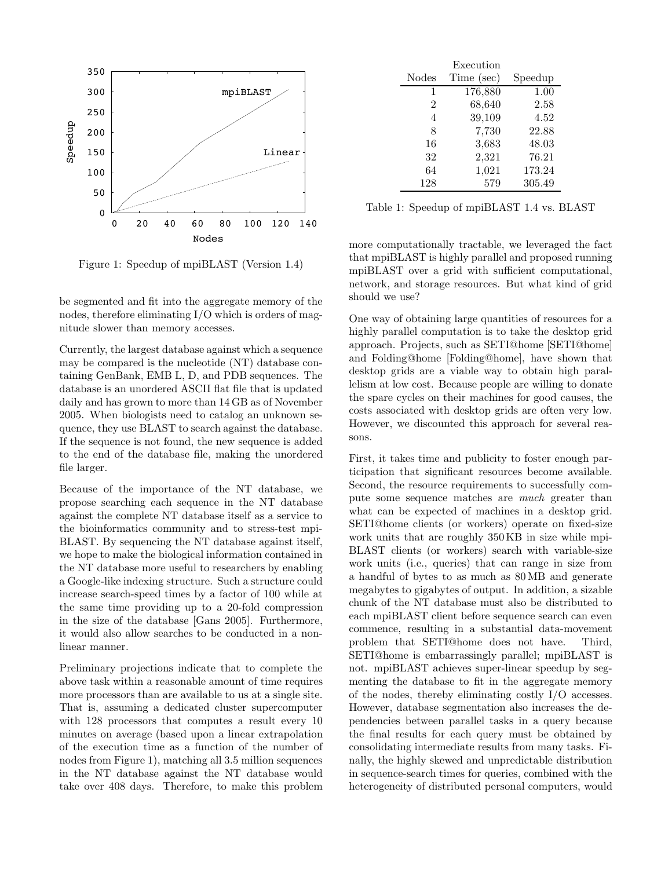

Figure 1: Speedup of mpiBLAST (Version 1.4)

be segmented and fit into the aggregate memory of the nodes, therefore eliminating I/O which is orders of magnitude slower than memory accesses.

Currently, the largest database against which a sequence may be compared is the nucleotide (NT) database containing GenBank, EMB L, D, and PDB sequences. The database is an unordered ASCII flat file that is updated daily and has grown to more than 14 GB as of November 2005. When biologists need to catalog an unknown sequence, they use BLAST to search against the database. If the sequence is not found, the new sequence is added to the end of the database file, making the unordered file larger.

Because of the importance of the NT database, we propose searching each sequence in the NT database against the complete NT database itself as a service to the bioinformatics community and to stress-test mpi-BLAST. By sequencing the NT database against itself, we hope to make the biological information contained in the NT database more useful to researchers by enabling a Google-like indexing structure. Such a structure could increase search-speed times by a factor of 100 while at the same time providing up to a 20-fold compression in the size of the database [Gans 2005]. Furthermore, it would also allow searches to be conducted in a nonlinear manner.

Preliminary projections indicate that to complete the above task within a reasonable amount of time requires more processors than are available to us at a single site. That is, assuming a dedicated cluster supercomputer with 128 processors that computes a result every 10 minutes on average (based upon a linear extrapolation of the execution time as a function of the number of nodes from Figure 1), matching all 3.5 million sequences in the NT database against the NT database would take over 408 days. Therefore, to make this problem

|                | Execution  |         |
|----------------|------------|---------|
| Nodes          | Time (sec) | Speedup |
| 1              | 176,880    | 1.00    |
| 2              | 68,640     | 2.58    |
| $\overline{4}$ | 39,109     | 4.52    |
| 8              | 7,730      | 22.88   |
| 16             | 3,683      | 48.03   |
| 32             | 2,321      | 76.21   |
| 64             | 1,021      | 173.24  |
| 128            | 579        | 305.49  |

Table 1: Speedup of mpiBLAST 1.4 vs. BLAST

more computationally tractable, we leveraged the fact that mpiBLAST is highly parallel and proposed running mpiBLAST over a grid with sufficient computational, network, and storage resources. But what kind of grid should we use?

One way of obtaining large quantities of resources for a highly parallel computation is to take the desktop grid approach. Projects, such as SETI@home [SETI@home] and Folding@home [Folding@home], have shown that desktop grids are a viable way to obtain high parallelism at low cost. Because people are willing to donate the spare cycles on their machines for good causes, the costs associated with desktop grids are often very low. However, we discounted this approach for several reasons.

First, it takes time and publicity to foster enough participation that significant resources become available. Second, the resource requirements to successfully compute some sequence matches are much greater than what can be expected of machines in a desktop grid. SETI@home clients (or workers) operate on fixed-size work units that are roughly 350KB in size while mpi-BLAST clients (or workers) search with variable-size work units (i.e., queries) that can range in size from a handful of bytes to as much as 80 MB and generate megabytes to gigabytes of output. In addition, a sizable chunk of the NT database must also be distributed to each mpiBLAST client before sequence search can even commence, resulting in a substantial data-movement problem that SETI@home does not have. Third, SETI@home is embarrassingly parallel; mpiBLAST is not. mpiBLAST achieves super-linear speedup by segmenting the database to fit in the aggregate memory of the nodes, thereby eliminating costly I/O accesses. However, database segmentation also increases the dependencies between parallel tasks in a query because the final results for each query must be obtained by consolidating intermediate results from many tasks. Finally, the highly skewed and unpredictable distribution in sequence-search times for queries, combined with the heterogeneity of distributed personal computers, would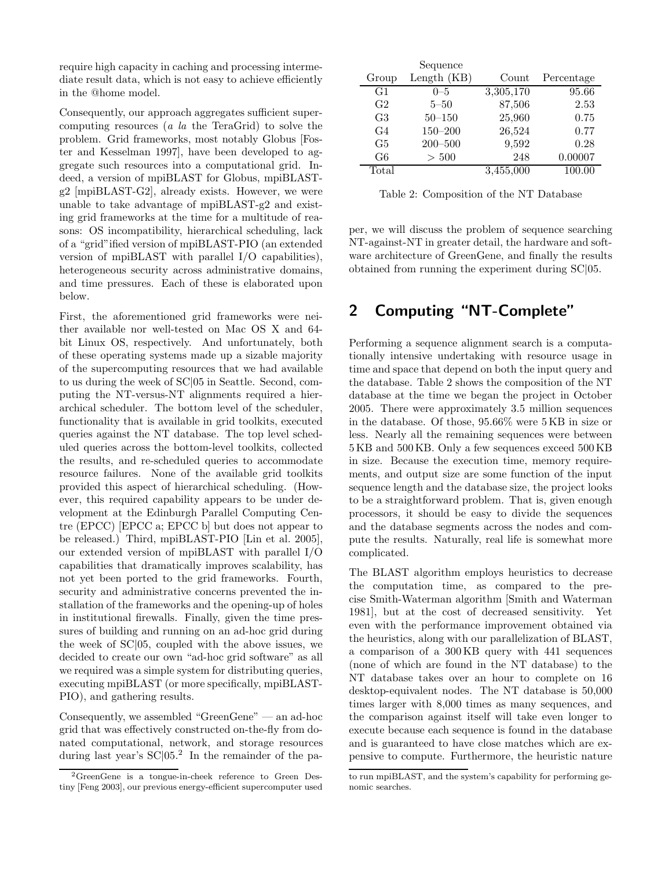require high capacity in caching and processing intermediate result data, which is not easy to achieve efficiently in the @home model.

Consequently, our approach aggregates sufficient supercomputing resources (a la the TeraGrid) to solve the problem. Grid frameworks, most notably Globus [Foster and Kesselman 1997], have been developed to aggregate such resources into a computational grid. Indeed, a version of mpiBLAST for Globus, mpiBLASTg2 [mpiBLAST-G2], already exists. However, we were unable to take advantage of mpiBLAST-g2 and existing grid frameworks at the time for a multitude of reasons: OS incompatibility, hierarchical scheduling, lack of a "grid"ified version of mpiBLAST-PIO (an extended version of mpiBLAST with parallel I/O capabilities), heterogeneous security across administrative domains, and time pressures. Each of these is elaborated upon below.

First, the aforementioned grid frameworks were neither available nor well-tested on Mac OS X and 64 bit Linux OS, respectively. And unfortunately, both of these operating systems made up a sizable majority of the supercomputing resources that we had available to us during the week of SC|05 in Seattle. Second, computing the NT-versus-NT alignments required a hierarchical scheduler. The bottom level of the scheduler, functionality that is available in grid toolkits, executed queries against the NT database. The top level scheduled queries across the bottom-level toolkits, collected the results, and re-scheduled queries to accommodate resource failures. None of the available grid toolkits provided this aspect of hierarchical scheduling. (However, this required capability appears to be under development at the Edinburgh Parallel Computing Centre (EPCC) [EPCC a; EPCC b] but does not appear to be released.) Third, mpiBLAST-PIO [Lin et al. 2005], our extended version of mpiBLAST with parallel I/O capabilities that dramatically improves scalability, has not yet been ported to the grid frameworks. Fourth, security and administrative concerns prevented the installation of the frameworks and the opening-up of holes in institutional firewalls. Finally, given the time pressures of building and running on an ad-hoc grid during the week of SC|05, coupled with the above issues, we decided to create our own "ad-hoc grid software" as all we required was a simple system for distributing queries, executing mpiBLAST (or more specifically, mpiBLAST-PIO), and gathering results.

Consequently, we assembled "GreenGene" — an ad-hoc grid that was effectively constructed on-the-fly from donated computational, network, and storage resources during last year's  $SC|05<sup>2</sup>$  In the remainder of the pa-

|                | Sequence      |           |            |
|----------------|---------------|-----------|------------|
| Group          | Length $(KB)$ | Count     | Percentage |
| G <sub>1</sub> | $0 - 5$       | 3,305,170 | 95.66      |
| G <sub>2</sub> | $5 - 50$      | 87,506    | 2.53       |
| G <sub>3</sub> | $50 - 150$    | 25,960    | 0.75       |
| G <sub>4</sub> | $150 - 200$   | 26,524    | 0.77       |
| G <sub>5</sub> | $200 - 500$   | 9,592     | 0.28       |
| G6             | > 500         | 248       | 0.00007    |
| Total          |               | 3,455,000 | 100.00     |

Table 2: Composition of the NT Database

per, we will discuss the problem of sequence searching NT-against-NT in greater detail, the hardware and software architecture of GreenGene, and finally the results obtained from running the experiment during SC|05.

## 2 Computing "NT-Complete"

Performing a sequence alignment search is a computationally intensive undertaking with resource usage in time and space that depend on both the input query and the database. Table 2 shows the composition of the NT database at the time we began the project in October 2005. There were approximately 3.5 million sequences in the database. Of those, 95.66% were 5 KB in size or less. Nearly all the remaining sequences were between 5 KB and 500 KB. Only a few sequences exceed 500 KB in size. Because the execution time, memory requirements, and output size are some function of the input sequence length and the database size, the project looks to be a straightforward problem. That is, given enough processors, it should be easy to divide the sequences and the database segments across the nodes and compute the results. Naturally, real life is somewhat more complicated.

The BLAST algorithm employs heuristics to decrease the computation time, as compared to the precise Smith-Waterman algorithm [Smith and Waterman 1981], but at the cost of decreased sensitivity. Yet even with the performance improvement obtained via the heuristics, along with our parallelization of BLAST, a comparison of a 300 KB query with 441 sequences (none of which are found in the NT database) to the NT database takes over an hour to complete on 16 desktop-equivalent nodes. The NT database is 50,000 times larger with 8,000 times as many sequences, and the comparison against itself will take even longer to execute because each sequence is found in the database and is guaranteed to have close matches which are expensive to compute. Furthermore, the heuristic nature

<sup>2</sup>GreenGene is a tongue-in-cheek reference to Green Destiny [Feng 2003], our previous energy-efficient supercomputer used

to run mpiBLAST, and the system's capability for performing genomic searches.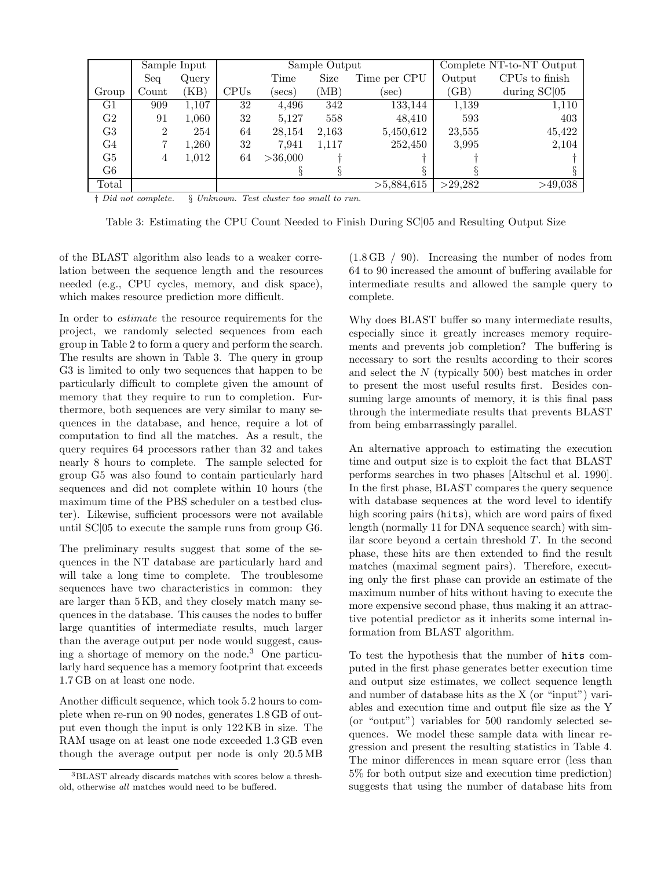|                | Sample Input |       | Sample Output |                   |       |              | Complete NT-to-NT Output |                |
|----------------|--------------|-------|---------------|-------------------|-------|--------------|--------------------------|----------------|
|                | Seq          | Query |               | Time              | Size  | Time per CPU | Output                   | CPUs to finish |
| Group          | Count        | (KB)  | CPUs          | $(\mathrm{secs})$ | (MB)  | sec)         | (GB)                     | during $SC 05$ |
| G1             | 909          | 1,107 | 32            | 4,496             | 342   | 133.144      | 1,139                    | 1,110          |
| G <sub>2</sub> | 91           | 1,060 | 32            | 5.127             | 558   | 48,410       | 593                      | 403            |
| G <sub>3</sub> | 2            | 254   | 64            | 28,154            | 2,163 | 5,450,612    | 23,555                   | 45,422         |
| G4             |              | 1,260 | 32            | 7.941             | 1,117 | 252,450      | 3.995                    | 2,104          |
| G5             | 4            | 1,012 | 64            | >36,000           |       |              |                          |                |
| G6             |              |       |               |                   |       |              |                          |                |
| Total          |              |       |               |                   |       | >5.884.615   | >29,282                  | >49,038        |

† Did not complete. § Unknown. Test cluster too small to run.

Table 3: Estimating the CPU Count Needed to Finish During SC|05 and Resulting Output Size

of the BLAST algorithm also leads to a weaker correlation between the sequence length and the resources needed (e.g., CPU cycles, memory, and disk space), which makes resource prediction more difficult.

In order to estimate the resource requirements for the project, we randomly selected sequences from each group in Table 2 to form a query and perform the search. The results are shown in Table 3. The query in group G3 is limited to only two sequences that happen to be particularly difficult to complete given the amount of memory that they require to run to completion. Furthermore, both sequences are very similar to many sequences in the database, and hence, require a lot of computation to find all the matches. As a result, the query requires 64 processors rather than 32 and takes nearly 8 hours to complete. The sample selected for group G5 was also found to contain particularly hard sequences and did not complete within 10 hours (the maximum time of the PBS scheduler on a testbed cluster). Likewise, sufficient processors were not available until SC|05 to execute the sample runs from group G6.

The preliminary results suggest that some of the sequences in the NT database are particularly hard and will take a long time to complete. The troublesome sequences have two characteristics in common: they are larger than 5 KB, and they closely match many sequences in the database. This causes the nodes to buffer large quantities of intermediate results, much larger than the average output per node would suggest, causing a shortage of memory on the node. <sup>3</sup> One particularly hard sequence has a memory footprint that exceeds 1.7 GB on at least one node.

Another difficult sequence, which took 5.2 hours to complete when re-run on 90 nodes, generates 1.8GB of output even though the input is only 122KB in size. The RAM usage on at least one node exceeded 1.3 GB even though the average output per node is only 20.5MB  $(1.8 \text{ GB} / 90)$ . Increasing the number of nodes from 64 to 90 increased the amount of buffering available for intermediate results and allowed the sample query to complete.

Why does BLAST buffer so many intermediate results, especially since it greatly increases memory requirements and prevents job completion? The buffering is necessary to sort the results according to their scores and select the N (typically 500) best matches in order to present the most useful results first. Besides consuming large amounts of memory, it is this final pass through the intermediate results that prevents BLAST from being embarrassingly parallel.

An alternative approach to estimating the execution time and output size is to exploit the fact that BLAST performs searches in two phases [Altschul et al. 1990]. In the first phase, BLAST compares the query sequence with database sequences at the word level to identify high scoring pairs (hits), which are word pairs of fixed length (normally 11 for DNA sequence search) with similar score beyond a certain threshold  $T$ . In the second phase, these hits are then extended to find the result matches (maximal segment pairs). Therefore, executing only the first phase can provide an estimate of the maximum number of hits without having to execute the more expensive second phase, thus making it an attractive potential predictor as it inherits some internal information from BLAST algorithm.

To test the hypothesis that the number of hits computed in the first phase generates better execution time and output size estimates, we collect sequence length and number of database hits as the X (or "input") variables and execution time and output file size as the Y (or "output") variables for 500 randomly selected sequences. We model these sample data with linear regression and present the resulting statistics in Table 4. The minor differences in mean square error (less than 5% for both output size and execution time prediction) suggests that using the number of database hits from

<sup>3</sup>BLAST already discards matches with scores below a threshold, otherwise all matches would need to be buffered.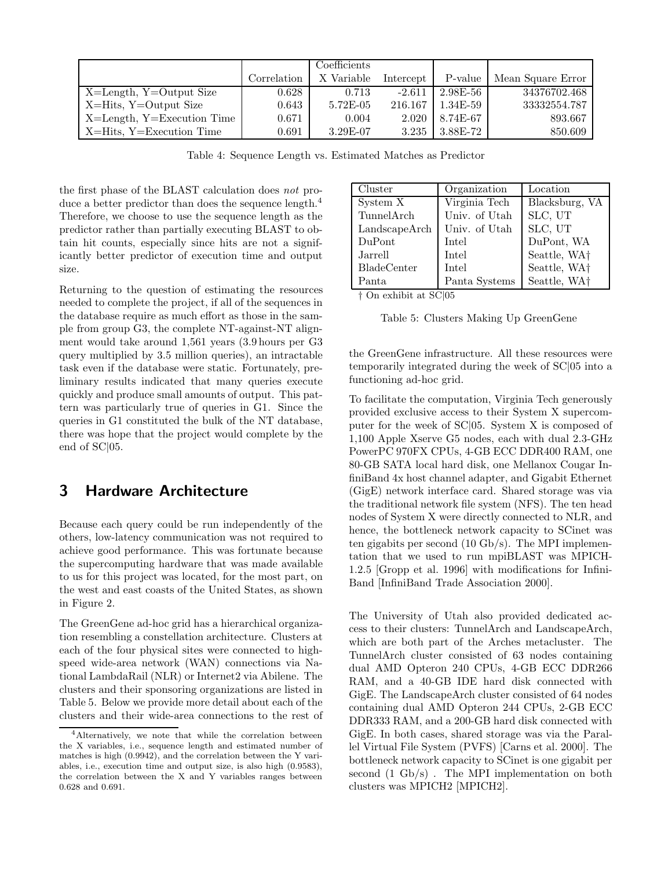|                                  |             | Coefficients |           |            |                             |
|----------------------------------|-------------|--------------|-----------|------------|-----------------------------|
|                                  | Correlation | X Variable   | Intercept |            | P-value   Mean Square Error |
| $X = Length, Y = Output Size$    | 0.628       | 0.713        | $-2.611$  | $2.98E-56$ | 34376702.468                |
| $X = Hits, Y = Output Size$      | 0.643       | $5.72E-0.5$  | 216.167   | $1.34E-59$ | 33332554.787                |
| $X = Length, Y = Execution Time$ | 0.671       | 0.004        | 2.020     | 8.74E-67   | 893.667                     |
| X=Hits, Y=Execution Time         | 0.691       | 3.29E-07     | 3.235     | 3.88E-72   | 850.609                     |

Table 4: Sequence Length vs. Estimated Matches as Predictor

the first phase of the BLAST calculation does not produce a better predictor than does the sequence length.<sup>4</sup> Therefore, we choose to use the sequence length as the predictor rather than partially executing BLAST to obtain hit counts, especially since hits are not a significantly better predictor of execution time and output size.

Returning to the question of estimating the resources needed to complete the project, if all of the sequences in the database require as much effort as those in the sample from group G3, the complete NT-against-NT alignment would take around 1,561 years (3.9 hours per G3 query multiplied by 3.5 million queries), an intractable task even if the database were static. Fortunately, preliminary results indicated that many queries execute quickly and produce small amounts of output. This pattern was particularly true of queries in G1. Since the queries in G1 constituted the bulk of the NT database, there was hope that the project would complete by the end of SC|05.

# 3 Hardware Architecture

Because each query could be run independently of the others, low-latency communication was not required to achieve good performance. This was fortunate because the supercomputing hardware that was made available to us for this project was located, for the most part, on the west and east coasts of the United States, as shown in Figure 2.

The GreenGene ad-hoc grid has a hierarchical organization resembling a constellation architecture. Clusters at each of the four physical sites were connected to highspeed wide-area network (WAN) connections via National LambdaRail (NLR) or Internet2 via Abilene. The clusters and their sponsoring organizations are listed in Table 5. Below we provide more detail about each of the clusters and their wide-area connections to the rest of

| Cluster       | Organization  | Location       |
|---------------|---------------|----------------|
| System X      | Virginia Tech | Blacksburg, VA |
| TunnelArch    | Univ. of Utah | SLC, UT        |
| LandscapeArch | Univ. of Utah | SLC, UT        |
| DuPont        | Intel         | DuPont, WA     |
| Jarrell       | Intel         | Seattle, WA†   |
| BladeCenter   | Intel         | Seattle, WA†   |
| Panta         | Panta Systems | Seattle, WA†   |

† On exhibit at SC|05

Table 5: Clusters Making Up GreenGene

the GreenGene infrastructure. All these resources were temporarily integrated during the week of SC|05 into a functioning ad-hoc grid.

To facilitate the computation, Virginia Tech generously provided exclusive access to their System X supercomputer for the week of SC|05. System X is composed of 1,100 Apple Xserve G5 nodes, each with dual 2.3-GHz PowerPC 970FX CPUs, 4-GB ECC DDR400 RAM, one 80-GB SATA local hard disk, one Mellanox Cougar InfiniBand 4x host channel adapter, and Gigabit Ethernet (GigE) network interface card. Shared storage was via the traditional network file system (NFS). The ten head nodes of System X were directly connected to NLR, and hence, the bottleneck network capacity to SCinet was ten gigabits per second (10 Gb/s). The MPI implementation that we used to run mpiBLAST was MPICH-1.2.5 [Gropp et al. 1996] with modifications for Infini-Band [InfiniBand Trade Association 2000].

The University of Utah also provided dedicated access to their clusters: TunnelArch and LandscapeArch, which are both part of the Arches metacluster. The TunnelArch cluster consisted of 63 nodes containing dual AMD Opteron 240 CPUs, 4-GB ECC DDR266 RAM, and a 40-GB IDE hard disk connected with GigE. The LandscapeArch cluster consisted of 64 nodes containing dual AMD Opteron 244 CPUs, 2-GB ECC DDR333 RAM, and a 200-GB hard disk connected with GigE. In both cases, shared storage was via the Parallel Virtual File System (PVFS) [Carns et al. 2000]. The bottleneck network capacity to SCinet is one gigabit per second (1 Gb/s) . The MPI implementation on both clusters was MPICH2 [MPICH2].

<sup>4</sup>Alternatively, we note that while the correlation between the X variables, i.e., sequence length and estimated number of matches is high (0.9942), and the correlation between the Y variables, i.e., execution time and output size, is also high (0.9583), the correlation between the X and Y variables ranges between 0.628 and 0.691.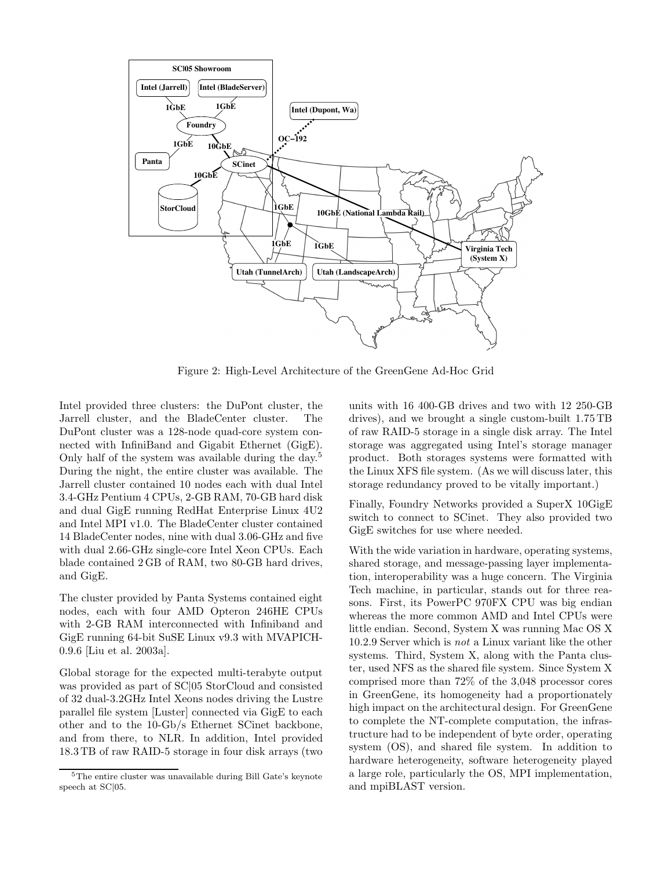

Figure 2: High-Level Architecture of the GreenGene Ad-Hoc Grid

Intel provided three clusters: the DuPont cluster, the Jarrell cluster, and the BladeCenter cluster. The DuPont cluster was a 128-node quad-core system connected with InfiniBand and Gigabit Ethernet (GigE). Only half of the system was available during the day.<sup>5</sup> During the night, the entire cluster was available. The Jarrell cluster contained 10 nodes each with dual Intel 3.4-GHz Pentium 4 CPUs, 2-GB RAM, 70-GB hard disk and dual GigE running RedHat Enterprise Linux 4U2 and Intel MPI v1.0. The BladeCenter cluster contained 14 BladeCenter nodes, nine with dual 3.06-GHz and five with dual 2.66-GHz single-core Intel Xeon CPUs. Each blade contained 2 GB of RAM, two 80-GB hard drives, and GigE.

The cluster provided by Panta Systems contained eight nodes, each with four AMD Opteron 246HE CPUs with 2-GB RAM interconnected with Infiniband and GigE running 64-bit SuSE Linux v9.3 with MVAPICH-0.9.6 [Liu et al. 2003a].

Global storage for the expected multi-terabyte output was provided as part of SC|05 StorCloud and consisted of 32 dual-3.2GHz Intel Xeons nodes driving the Lustre parallel file system [Luster] connected via GigE to each other and to the 10-Gb/s Ethernet SCinet backbone, and from there, to NLR. In addition, Intel provided 18.3 TB of raw RAID-5 storage in four disk arrays (two

units with 16 400-GB drives and two with 12 250-GB drives), and we brought a single custom-built 1.75 TB of raw RAID-5 storage in a single disk array. The Intel storage was aggregated using Intel's storage manager product. Both storages systems were formatted with the Linux XFS file system. (As we will discuss later, this storage redundancy proved to be vitally important.)

Finally, Foundry Networks provided a SuperX 10GigE switch to connect to SCinet. They also provided two GigE switches for use where needed.

With the wide variation in hardware, operating systems, shared storage, and message-passing layer implementation, interoperability was a huge concern. The Virginia Tech machine, in particular, stands out for three reasons. First, its PowerPC 970FX CPU was big endian whereas the more common AMD and Intel CPUs were little endian. Second, System X was running Mac OS X 10.2.9 Server which is not a Linux variant like the other systems. Third, System X, along with the Panta cluster, used NFS as the shared file system. Since System X comprised more than 72% of the 3,048 processor cores in GreenGene, its homogeneity had a proportionately high impact on the architectural design. For GreenGene to complete the NT-complete computation, the infrastructure had to be independent of byte order, operating system (OS), and shared file system. In addition to hardware heterogeneity, software heterogeneity played a large role, particularly the OS, MPI implementation, and mpiBLAST version.

<sup>5</sup>The entire cluster was unavailable during Bill Gate's keynote speech at SC|05.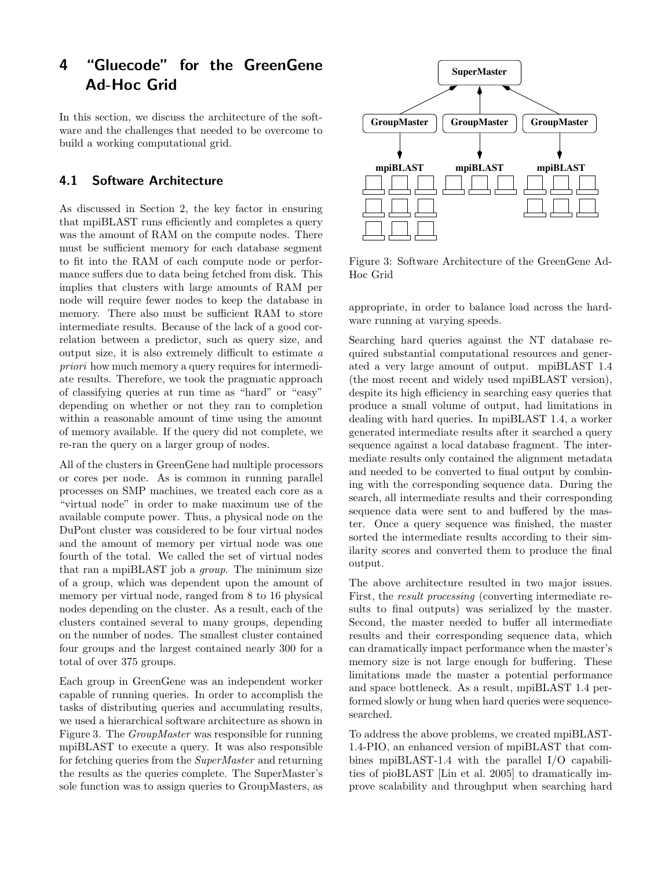# 4 "Gluecode" for the GreenGene Ad-Hoc Grid

In this section, we discuss the architecture of the software and the challenges that needed to be overcome to build a working computational grid.

### 4.1 Software Architecture

As discussed in Section 2, the key factor in ensuring that mpiBLAST runs efficiently and completes a query was the amount of RAM on the compute nodes. There must be sufficient memory for each database segment to fit into the RAM of each compute node or performance suffers due to data being fetched from disk. This implies that clusters with large amounts of RAM per node will require fewer nodes to keep the database in memory. There also must be sufficient RAM to store intermediate results. Because of the lack of a good correlation between a predictor, such as query size, and output size, it is also extremely difficult to estimate a priori how much memory a query requires for intermediate results. Therefore, we took the pragmatic approach of classifying queries at run time as "hard" or "easy" depending on whether or not they ran to completion within a reasonable amount of time using the amount of memory available. If the query did not complete, we re-ran the query on a larger group of nodes.

All of the clusters in GreenGene had multiple processors or cores per node. As is common in running parallel processes on SMP machines, we treated each core as a "virtual node" in order to make maximum use of the available compute power. Thus, a physical node on the DuPont cluster was considered to be four virtual nodes and the amount of memory per virtual node was one fourth of the total. We called the set of virtual nodes that ran a mpiBLAST job a group. The minimum size of a group, which was dependent upon the amount of memory per virtual node, ranged from 8 to 16 physical nodes depending on the cluster. As a result, each of the clusters contained several to many groups, depending on the number of nodes. The smallest cluster contained four groups and the largest contained nearly 300 for a total of over 375 groups.

Each group in GreenGene was an independent worker capable of running queries. In order to accomplish the tasks of distributing queries and accumulating results, we used a hierarchical software architecture as shown in Figure 3. The GroupMaster was responsible for running mpiBLAST to execute a query. It was also responsible for fetching queries from the SuperMaster and returning the results as the queries complete. The SuperMaster's sole function was to assign queries to GroupMasters, as



Figure 3: Software Architecture of the GreenGene Ad-Hoc Grid

appropriate, in order to balance load across the hardware running at varying speeds.

Searching hard queries against the NT database required substantial computational resources and generated a very large amount of output. mpiBLAST 1.4 (the most recent and widely used mpiBLAST version), despite its high efficiency in searching easy queries that produce a small volume of output, had limitations in dealing with hard queries. In mpiBLAST 1.4, a worker generated intermediate results after it searched a query sequence against a local database fragment. The intermediate results only contained the alignment metadata and needed to be converted to final output by combining with the corresponding sequence data. During the search, all intermediate results and their corresponding sequence data were sent to and buffered by the master. Once a query sequence was finished, the master sorted the intermediate results according to their similarity scores and converted them to produce the final output.

The above architecture resulted in two major issues. First, the result processing (converting intermediate results to final outputs) was serialized by the master. Second, the master needed to buffer all intermediate results and their corresponding sequence data, which can dramatically impact performance when the master's memory size is not large enough for buffering. These limitations made the master a potential performance and space bottleneck. As a result, mpiBLAST 1.4 performed slowly or hung when hard queries were sequencesearched.

To address the above problems, we created mpiBLAST-1.4-PIO, an enhanced version of mpiBLAST that combines mpiBLAST-1.4 with the parallel I/O capabilities of pioBLAST [Lin et al. 2005] to dramatically improve scalability and throughput when searching hard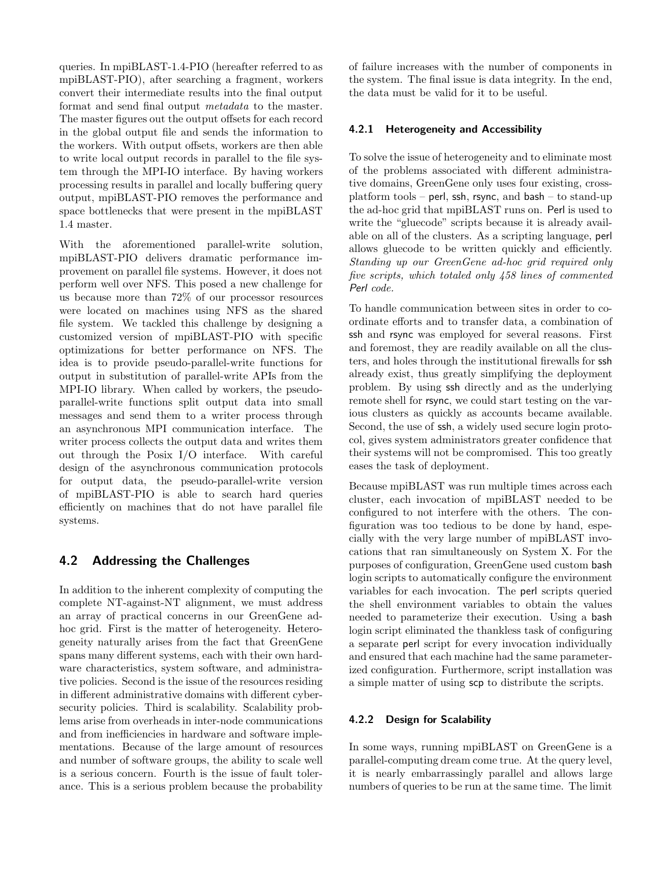queries. In mpiBLAST-1.4-PIO (hereafter referred to as mpiBLAST-PIO), after searching a fragment, workers convert their intermediate results into the final output format and send final output metadata to the master. The master figures out the output offsets for each record in the global output file and sends the information to the workers. With output offsets, workers are then able to write local output records in parallel to the file system through the MPI-IO interface. By having workers processing results in parallel and locally buffering query output, mpiBLAST-PIO removes the performance and space bottlenecks that were present in the mpiBLAST 1.4 master.

With the aforementioned parallel-write solution, mpiBLAST-PIO delivers dramatic performance improvement on parallel file systems. However, it does not perform well over NFS. This posed a new challenge for us because more than 72% of our processor resources were located on machines using NFS as the shared file system. We tackled this challenge by designing a customized version of mpiBLAST-PIO with specific optimizations for better performance on NFS. The idea is to provide pseudo-parallel-write functions for output in substitution of parallel-write APIs from the MPI-IO library. When called by workers, the pseudoparallel-write functions split output data into small messages and send them to a writer process through an asynchronous MPI communication interface. The writer process collects the output data and writes them out through the Posix I/O interface. With careful design of the asynchronous communication protocols for output data, the pseudo-parallel-write version of mpiBLAST-PIO is able to search hard queries efficiently on machines that do not have parallel file systems.

### 4.2 Addressing the Challenges

In addition to the inherent complexity of computing the complete NT-against-NT alignment, we must address an array of practical concerns in our GreenGene adhoc grid. First is the matter of heterogeneity. Heterogeneity naturally arises from the fact that GreenGene spans many different systems, each with their own hardware characteristics, system software, and administrative policies. Second is the issue of the resources residing in different administrative domains with different cybersecurity policies. Third is scalability. Scalability problems arise from overheads in inter-node communications and from inefficiencies in hardware and software implementations. Because of the large amount of resources and number of software groups, the ability to scale well is a serious concern. Fourth is the issue of fault tolerance. This is a serious problem because the probability of failure increases with the number of components in the system. The final issue is data integrity. In the end, the data must be valid for it to be useful.

#### 4.2.1 Heterogeneity and Accessibility

To solve the issue of heterogeneity and to eliminate most of the problems associated with different administrative domains, GreenGene only uses four existing, crossplatform tools – perl, ssh, rsync, and bash – to stand-up the ad-hoc grid that mpiBLAST runs on. Perl is used to write the "gluecode" scripts because it is already available on all of the clusters. As a scripting language, perl allows gluecode to be written quickly and efficiently. Standing up our GreenGene ad-hoc grid required only five scripts, which totaled only 458 lines of commented Perl code.

To handle communication between sites in order to coordinate efforts and to transfer data, a combination of ssh and rsync was employed for several reasons. First and foremost, they are readily available on all the clusters, and holes through the institutional firewalls for ssh already exist, thus greatly simplifying the deployment problem. By using ssh directly and as the underlying remote shell for rsync, we could start testing on the various clusters as quickly as accounts became available. Second, the use of ssh, a widely used secure login protocol, gives system administrators greater confidence that their systems will not be compromised. This too greatly eases the task of deployment.

Because mpiBLAST was run multiple times across each cluster, each invocation of mpiBLAST needed to be configured to not interfere with the others. The configuration was too tedious to be done by hand, especially with the very large number of mpiBLAST invocations that ran simultaneously on System X. For the purposes of configuration, GreenGene used custom bash login scripts to automatically configure the environment variables for each invocation. The perl scripts queried the shell environment variables to obtain the values needed to parameterize their execution. Using a bash login script eliminated the thankless task of configuring a separate perl script for every invocation individually and ensured that each machine had the same parameterized configuration. Furthermore, script installation was a simple matter of using scp to distribute the scripts.

#### 4.2.2 Design for Scalability

In some ways, running mpiBLAST on GreenGene is a parallel-computing dream come true. At the query level, it is nearly embarrassingly parallel and allows large numbers of queries to be run at the same time. The limit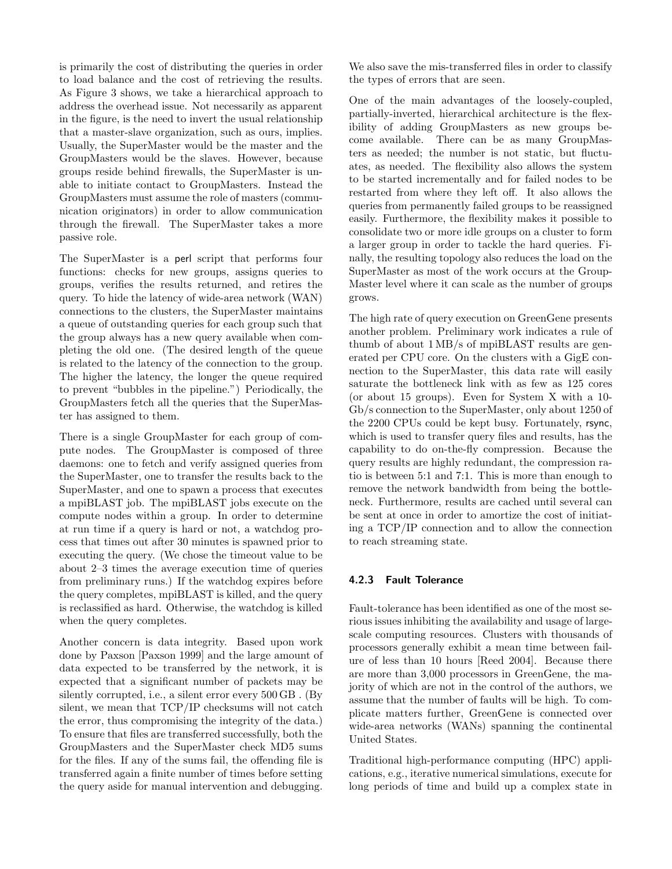is primarily the cost of distributing the queries in order to load balance and the cost of retrieving the results. As Figure 3 shows, we take a hierarchical approach to address the overhead issue. Not necessarily as apparent in the figure, is the need to invert the usual relationship that a master-slave organization, such as ours, implies. Usually, the SuperMaster would be the master and the GroupMasters would be the slaves. However, because groups reside behind firewalls, the SuperMaster is unable to initiate contact to GroupMasters. Instead the GroupMasters must assume the role of masters (communication originators) in order to allow communication through the firewall. The SuperMaster takes a more passive role.

The SuperMaster is a perl script that performs four functions: checks for new groups, assigns queries to groups, verifies the results returned, and retires the query. To hide the latency of wide-area network (WAN) connections to the clusters, the SuperMaster maintains a queue of outstanding queries for each group such that the group always has a new query available when completing the old one. (The desired length of the queue is related to the latency of the connection to the group. The higher the latency, the longer the queue required to prevent "bubbles in the pipeline.") Periodically, the GroupMasters fetch all the queries that the SuperMaster has assigned to them.

There is a single GroupMaster for each group of compute nodes. The GroupMaster is composed of three daemons: one to fetch and verify assigned queries from the SuperMaster, one to transfer the results back to the SuperMaster, and one to spawn a process that executes a mpiBLAST job. The mpiBLAST jobs execute on the compute nodes within a group. In order to determine at run time if a query is hard or not, a watchdog process that times out after 30 minutes is spawned prior to executing the query. (We chose the timeout value to be about 2–3 times the average execution time of queries from preliminary runs.) If the watchdog expires before the query completes, mpiBLAST is killed, and the query is reclassified as hard. Otherwise, the watchdog is killed when the query completes.

Another concern is data integrity. Based upon work done by Paxson [Paxson 1999] and the large amount of data expected to be transferred by the network, it is expected that a significant number of packets may be silently corrupted, i.e., a silent error every 500 GB . (By silent, we mean that TCP/IP checksums will not catch the error, thus compromising the integrity of the data.) To ensure that files are transferred successfully, both the GroupMasters and the SuperMaster check MD5 sums for the files. If any of the sums fail, the offending file is transferred again a finite number of times before setting the query aside for manual intervention and debugging.

We also save the mis-transferred files in order to classify the types of errors that are seen.

One of the main advantages of the loosely-coupled, partially-inverted, hierarchical architecture is the flexibility of adding GroupMasters as new groups become available. There can be as many GroupMasters as needed; the number is not static, but fluctuates, as needed. The flexibility also allows the system to be started incrementally and for failed nodes to be restarted from where they left off. It also allows the queries from permanently failed groups to be reassigned easily. Furthermore, the flexibility makes it possible to consolidate two or more idle groups on a cluster to form a larger group in order to tackle the hard queries. Finally, the resulting topology also reduces the load on the SuperMaster as most of the work occurs at the Group-Master level where it can scale as the number of groups grows.

The high rate of query execution on GreenGene presents another problem. Preliminary work indicates a rule of thumb of about 1 MB/s of mpiBLAST results are generated per CPU core. On the clusters with a GigE connection to the SuperMaster, this data rate will easily saturate the bottleneck link with as few as 125 cores (or about 15 groups). Even for System X with a 10- Gb/s connection to the SuperMaster, only about 1250 of the 2200 CPUs could be kept busy. Fortunately, rsync, which is used to transfer query files and results, has the capability to do on-the-fly compression. Because the query results are highly redundant, the compression ratio is between 5:1 and 7:1. This is more than enough to remove the network bandwidth from being the bottleneck. Furthermore, results are cached until several can be sent at once in order to amortize the cost of initiating a TCP/IP connection and to allow the connection to reach streaming state.

#### 4.2.3 Fault Tolerance

Fault-tolerance has been identified as one of the most serious issues inhibiting the availability and usage of largescale computing resources. Clusters with thousands of processors generally exhibit a mean time between failure of less than 10 hours [Reed 2004]. Because there are more than 3,000 processors in GreenGene, the majority of which are not in the control of the authors, we assume that the number of faults will be high. To complicate matters further, GreenGene is connected over wide-area networks (WANs) spanning the continental United States.

Traditional high-performance computing (HPC) applications, e.g., iterative numerical simulations, execute for long periods of time and build up a complex state in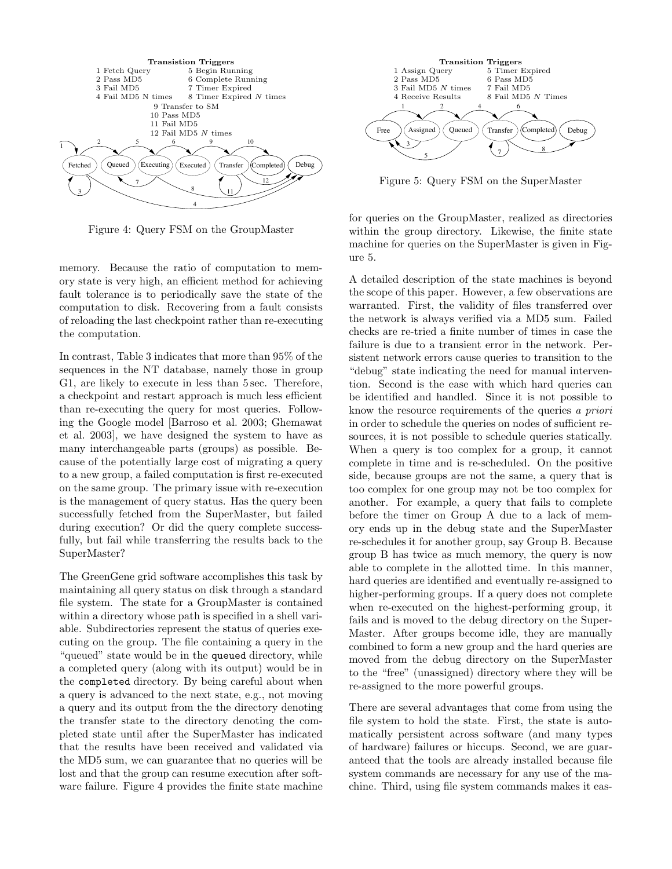

Figure 4: Query FSM on the GroupMaster

memory. Because the ratio of computation to memory state is very high, an efficient method for achieving fault tolerance is to periodically save the state of the computation to disk. Recovering from a fault consists of reloading the last checkpoint rather than re-executing the computation.

In contrast, Table 3 indicates that more than 95% of the sequences in the NT database, namely those in group G1, are likely to execute in less than 5 sec. Therefore, a checkpoint and restart approach is much less efficient than re-executing the query for most queries. Following the Google model [Barroso et al. 2003; Ghemawat et al. 2003], we have designed the system to have as many interchangeable parts (groups) as possible. Because of the potentially large cost of migrating a query to a new group, a failed computation is first re-executed on the same group. The primary issue with re-execution is the management of query status. Has the query been successfully fetched from the SuperMaster, but failed during execution? Or did the query complete successfully, but fail while transferring the results back to the SuperMaster?

The GreenGene grid software accomplishes this task by maintaining all query status on disk through a standard file system. The state for a GroupMaster is contained within a directory whose path is specified in a shell variable. Subdirectories represent the status of queries executing on the group. The file containing a query in the "queued" state would be in the queued directory, while a completed query (along with its output) would be in the completed directory. By being careful about when a query is advanced to the next state, e.g., not moving a query and its output from the the directory denoting the transfer state to the directory denoting the completed state until after the SuperMaster has indicated that the results have been received and validated via the MD5 sum, we can guarantee that no queries will be lost and that the group can resume execution after software failure. Figure 4 provides the finite state machine



Figure 5: Query FSM on the SuperMaster

for queries on the GroupMaster, realized as directories within the group directory. Likewise, the finite state machine for queries on the SuperMaster is given in Figure 5.

A detailed description of the state machines is beyond the scope of this paper. However, a few observations are warranted. First, the validity of files transferred over the network is always verified via a MD5 sum. Failed checks are re-tried a finite number of times in case the failure is due to a transient error in the network. Persistent network errors cause queries to transition to the "debug" state indicating the need for manual intervention. Second is the ease with which hard queries can be identified and handled. Since it is not possible to know the resource requirements of the queries a priori in order to schedule the queries on nodes of sufficient resources, it is not possible to schedule queries statically. When a query is too complex for a group, it cannot complete in time and is re-scheduled. On the positive side, because groups are not the same, a query that is too complex for one group may not be too complex for another. For example, a query that fails to complete before the timer on Group A due to a lack of memory ends up in the debug state and the SuperMaster re-schedules it for another group, say Group B. Because group B has twice as much memory, the query is now able to complete in the allotted time. In this manner, hard queries are identified and eventually re-assigned to higher-performing groups. If a query does not complete when re-executed on the highest-performing group, it fails and is moved to the debug directory on the Super-Master. After groups become idle, they are manually combined to form a new group and the hard queries are moved from the debug directory on the SuperMaster to the "free" (unassigned) directory where they will be re-assigned to the more powerful groups.

There are several advantages that come from using the file system to hold the state. First, the state is automatically persistent across software (and many types of hardware) failures or hiccups. Second, we are guaranteed that the tools are already installed because file system commands are necessary for any use of the machine. Third, using file system commands makes it eas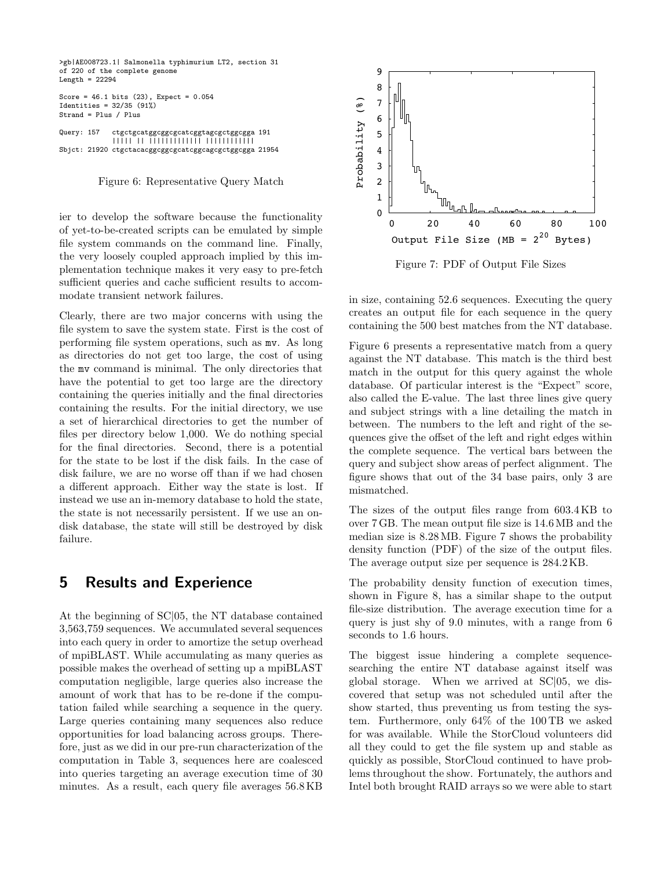>gb|AE008723.1| Salmonella typhimurium LT2, section 31 of 220 of the complete genome Length = 22294

```
Score = 46.1 bits (23), Expect = 0.054
Identities = 32/35 (91%)
Strand = Plus / Plus
```
Query: 157 ctgctgcatggcggcgcatcggtagcgctggcgga 191 ||||| || ||||||||||||| |||||||||||| Sbjct: 21920 ctgctacacggcggcgcatcggcagcgctggcgga 21954

Figure 6: Representative Query Match

ier to develop the software because the functionality of yet-to-be-created scripts can be emulated by simple file system commands on the command line. Finally, the very loosely coupled approach implied by this implementation technique makes it very easy to pre-fetch sufficient queries and cache sufficient results to accommodate transient network failures.

Clearly, there are two major concerns with using the file system to save the system state. First is the cost of performing file system operations, such as mv. As long as directories do not get too large, the cost of using the mv command is minimal. The only directories that have the potential to get too large are the directory containing the queries initially and the final directories containing the results. For the initial directory, we use a set of hierarchical directories to get the number of files per directory below 1,000. We do nothing special for the final directories. Second, there is a potential for the state to be lost if the disk fails. In the case of disk failure, we are no worse off than if we had chosen a different approach. Either way the state is lost. If instead we use an in-memory database to hold the state, the state is not necessarily persistent. If we use an ondisk database, the state will still be destroyed by disk failure.

### 5 Results and Experience

At the beginning of SC|05, the NT database contained 3,563,759 sequences. We accumulated several sequences into each query in order to amortize the setup overhead of mpiBLAST. While accumulating as many queries as possible makes the overhead of setting up a mpiBLAST computation negligible, large queries also increase the amount of work that has to be re-done if the computation failed while searching a sequence in the query. Large queries containing many sequences also reduce opportunities for load balancing across groups. Therefore, just as we did in our pre-run characterization of the computation in Table 3, sequences here are coalesced into queries targeting an average execution time of 30 minutes. As a result, each query file averages 56.8KB



Figure 7: PDF of Output File Sizes

in size, containing 52.6 sequences. Executing the query creates an output file for each sequence in the query containing the 500 best matches from the NT database.

Figure 6 presents a representative match from a query against the NT database. This match is the third best match in the output for this query against the whole database. Of particular interest is the "Expect" score, also called the E-value. The last three lines give query and subject strings with a line detailing the match in between. The numbers to the left and right of the sequences give the offset of the left and right edges within the complete sequence. The vertical bars between the query and subject show areas of perfect alignment. The figure shows that out of the 34 base pairs, only 3 are mismatched.

The sizes of the output files range from 603.4KB to over 7 GB. The mean output file size is 14.6MB and the median size is 8.28MB. Figure 7 shows the probability density function (PDF) of the size of the output files. The average output size per sequence is 284.2KB.

The probability density function of execution times, shown in Figure 8, has a similar shape to the output file-size distribution. The average execution time for a query is just shy of 9.0 minutes, with a range from 6 seconds to 1.6 hours.

The biggest issue hindering a complete sequencesearching the entire NT database against itself was global storage. When we arrived at SC|05, we discovered that setup was not scheduled until after the show started, thus preventing us from testing the system. Furthermore, only 64% of the 100 TB we asked for was available. While the StorCloud volunteers did all they could to get the file system up and stable as quickly as possible, StorCloud continued to have problems throughout the show. Fortunately, the authors and Intel both brought RAID arrays so we were able to start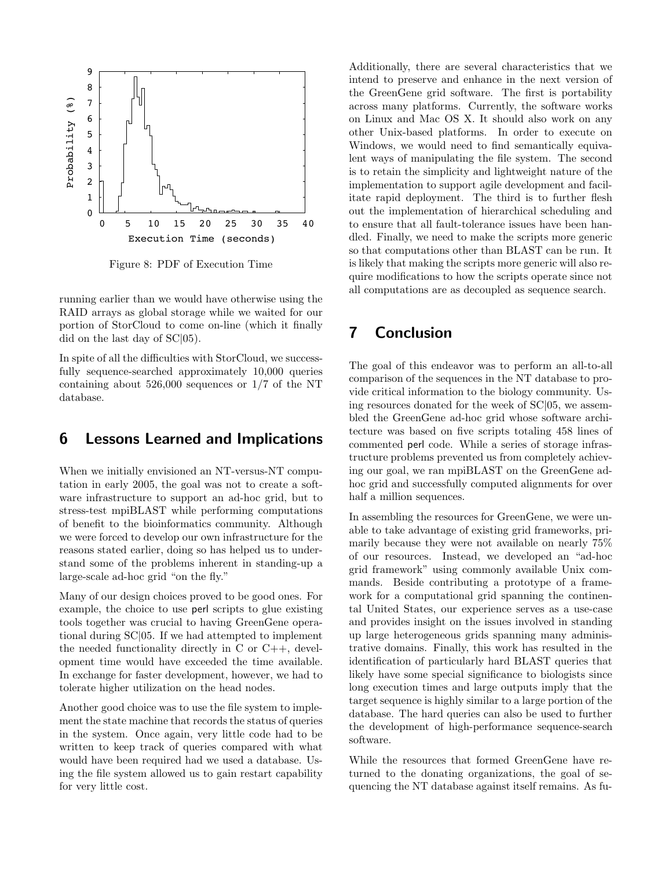

Figure 8: PDF of Execution Time

running earlier than we would have otherwise using the RAID arrays as global storage while we waited for our portion of StorCloud to come on-line (which it finally did on the last day of  $SC|05$ .

In spite of all the difficulties with StorCloud, we successfully sequence-searched approximately 10,000 queries containing about 526,000 sequences or 1/7 of the NT database.

# 6 Lessons Learned and Implications

When we initially envisioned an NT-versus-NT computation in early 2005, the goal was not to create a software infrastructure to support an ad-hoc grid, but to stress-test mpiBLAST while performing computations of benefit to the bioinformatics community. Although we were forced to develop our own infrastructure for the reasons stated earlier, doing so has helped us to understand some of the problems inherent in standing-up a large-scale ad-hoc grid "on the fly."

Many of our design choices proved to be good ones. For example, the choice to use perl scripts to glue existing tools together was crucial to having GreenGene operational during SC|05. If we had attempted to implement the needed functionality directly in  $C$  or  $C++$ , development time would have exceeded the time available. In exchange for faster development, however, we had to tolerate higher utilization on the head nodes.

Another good choice was to use the file system to implement the state machine that records the status of queries in the system. Once again, very little code had to be written to keep track of queries compared with what would have been required had we used a database. Using the file system allowed us to gain restart capability for very little cost.

Additionally, there are several characteristics that we intend to preserve and enhance in the next version of the GreenGene grid software. The first is portability across many platforms. Currently, the software works on Linux and Mac OS X. It should also work on any other Unix-based platforms. In order to execute on Windows, we would need to find semantically equivalent ways of manipulating the file system. The second is to retain the simplicity and lightweight nature of the implementation to support agile development and facilitate rapid deployment. The third is to further flesh out the implementation of hierarchical scheduling and to ensure that all fault-tolerance issues have been handled. Finally, we need to make the scripts more generic so that computations other than BLAST can be run. It is likely that making the scripts more generic will also require modifications to how the scripts operate since not all computations are as decoupled as sequence search.

# 7 Conclusion

The goal of this endeavor was to perform an all-to-all comparison of the sequences in the NT database to provide critical information to the biology community. Using resources donated for the week of SC|05, we assembled the GreenGene ad-hoc grid whose software architecture was based on five scripts totaling 458 lines of commented perl code. While a series of storage infrastructure problems prevented us from completely achieving our goal, we ran mpiBLAST on the GreenGene adhoc grid and successfully computed alignments for over half a million sequences.

In assembling the resources for GreenGene, we were unable to take advantage of existing grid frameworks, primarily because they were not available on nearly 75% of our resources. Instead, we developed an "ad-hoc grid framework" using commonly available Unix commands. Beside contributing a prototype of a framework for a computational grid spanning the continental United States, our experience serves as a use-case and provides insight on the issues involved in standing up large heterogeneous grids spanning many administrative domains. Finally, this work has resulted in the identification of particularly hard BLAST queries that likely have some special significance to biologists since long execution times and large outputs imply that the target sequence is highly similar to a large portion of the database. The hard queries can also be used to further the development of high-performance sequence-search software.

While the resources that formed GreenGene have returned to the donating organizations, the goal of sequencing the NT database against itself remains. As fu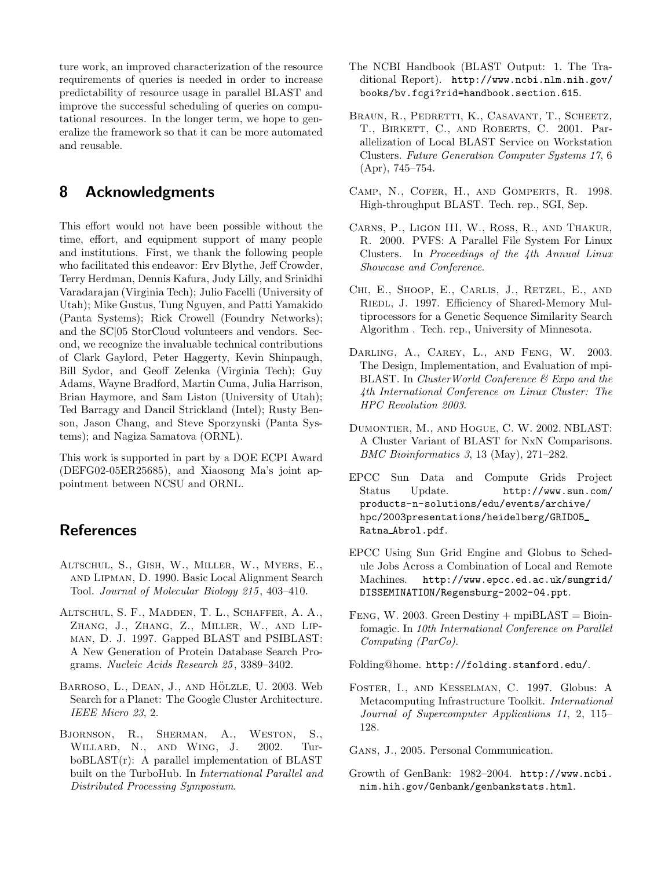ture work, an improved characterization of the resource requirements of queries is needed in order to increase predictability of resource usage in parallel BLAST and improve the successful scheduling of queries on computational resources. In the longer term, we hope to generalize the framework so that it can be more automated and reusable.

### 8 Acknowledgments

This effort would not have been possible without the time, effort, and equipment support of many people and institutions. First, we thank the following people who facilitated this endeavor: Erv Blythe, Jeff Crowder, Terry Herdman, Dennis Kafura, Judy Lilly, and Srinidhi Varadarajan (Virginia Tech); Julio Facelli (University of Utah); Mike Gustus, Tung Nguyen, and Patti Yamakido (Panta Systems); Rick Crowell (Foundry Networks); and the SC|05 StorCloud volunteers and vendors. Second, we recognize the invaluable technical contributions of Clark Gaylord, Peter Haggerty, Kevin Shinpaugh, Bill Sydor, and Geoff Zelenka (Virginia Tech); Guy Adams, Wayne Bradford, Martin Cuma, Julia Harrison, Brian Haymore, and Sam Liston (University of Utah); Ted Barragy and Dancil Strickland (Intel); Rusty Benson, Jason Chang, and Steve Sporzynski (Panta Systems); and Nagiza Samatova (ORNL).

This work is supported in part by a DOE ECPI Award (DEFG02-05ER25685), and Xiaosong Ma's joint appointment between NCSU and ORNL.

### References

- Altschul, S., Gish, W., Miller, W., Myers, E., and Lipman, D. 1990. Basic Local Alignment Search Tool. Journal of Molecular Biology 215, 403–410.
- Altschul, S. F., Madden, T. L., Schaffer, A. A., Zhang, J., Zhang, Z., Miller, W., and Lipman, D. J. 1997. Gapped BLAST and PSIBLAST: A New Generation of Protein Database Search Programs. Nucleic Acids Research 25, 3389–3402.
- BARROSO, L., DEAN, J., AND HÖLZLE, U. 2003. Web Search for a Planet: The Google Cluster Architecture. IEEE Micro 23, 2.
- Bjornson, R., Sherman, A., Weston, S., Willard, N., and Wing, J. 2002. TurboBLAST(r): A parallel implementation of BLAST built on the TurboHub. In International Parallel and Distributed Processing Symposium.
- The NCBI Handbook (BLAST Output: 1. The Traditional Report). http://www.ncbi.nlm.nih.gov/ books/bv.fcgi?rid=handbook.section.615.
- BRAUN, R., PEDRETTI, K., CASAVANT, T., SCHEETZ, T., BIRKETT, C., AND ROBERTS, C. 2001. Parallelization of Local BLAST Service on Workstation Clusters. Future Generation Computer Systems 17, 6 (Apr), 745–754.
- Camp, N., Cofer, H., and Gomperts, R. 1998. High-throughput BLAST. Tech. rep., SGI, Sep.
- Carns, P., Ligon III, W., Ross, R., and Thakur, R. 2000. PVFS: A Parallel File System For Linux Clusters. In Proceedings of the 4th Annual Linux Showcase and Conference.
- Chi, E., Shoop, E., Carlis, J., Retzel, E., and RIEDL, J. 1997. Efficiency of Shared-Memory Multiprocessors for a Genetic Sequence Similarity Search Algorithm . Tech. rep., University of Minnesota.
- DARLING, A., CAREY, L., AND FENG, W. 2003. The Design, Implementation, and Evaluation of mpi-BLAST. In Cluster World Conference & Expo and the 4th International Conference on Linux Cluster: The HPC Revolution 2003.
- Dumontier, M., and Hogue, C. W. 2002. NBLAST: A Cluster Variant of BLAST for NxN Comparisons. BMC Bioinformatics 3, 13 (May), 271–282.
- EPCC Sun Data and Compute Grids Project Status Update. http://www.sun.com/ products-n-solutions/edu/events/archive/ hpc/2003presentations/heidelberg/GRID05 Ratna Abrol.pdf.
- EPCC Using Sun Grid Engine and Globus to Schedule Jobs Across a Combination of Local and Remote Machines. http://www.epcc.ed.ac.uk/sungrid/ DISSEMINATION/Regensburg-2002-04.ppt.
- FENG, W. 2003. Green Destiny  $+$  mpiBLAST = Bioinfomagic. In 10th International Conference on Parallel Computing (ParCo).
- Folding@home. http://folding.stanford.edu/.
- Foster, I., and Kesselman, C. 1997. Globus: A Metacomputing Infrastructure Toolkit. International Journal of Supercomputer Applications 11, 2, 115– 128.

Gans, J., 2005. Personal Communication.

Growth of GenBank: 1982–2004. http://www.ncbi. nim.hih.gov/Genbank/genbankstats.html.